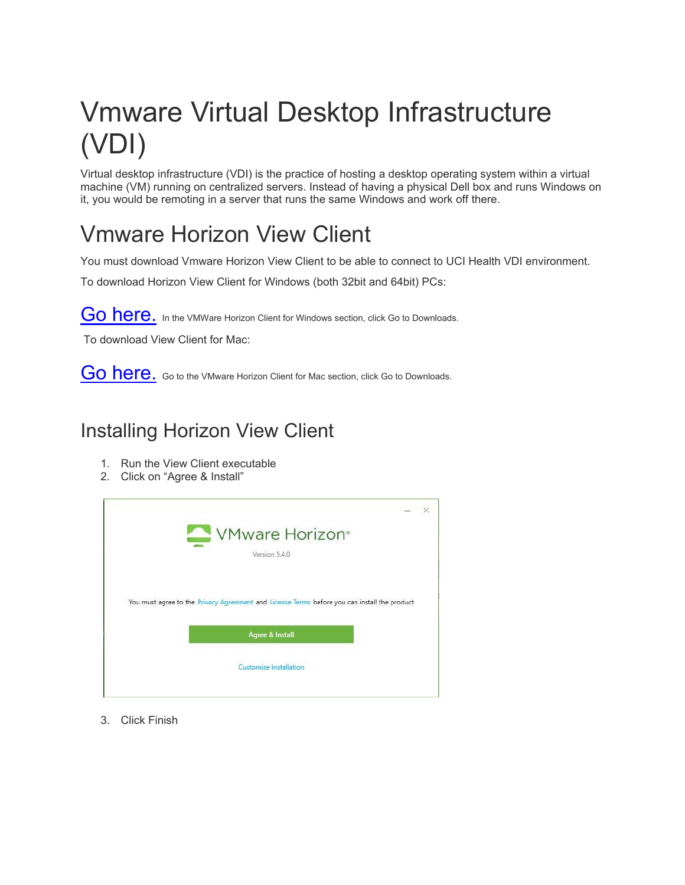# Vmware Virtual Desktop Infrastructure (VDI)

Virtual desktop infrastructure (VDI) is the practice of hosting a desktop operating system within a virtual machine (VM) running on centralized servers. Instead of having a physical Dell box and runs Windows on it, you would be remoting in a server that runs the same Windows and work off there.

### Vmware Horizon View Client

You must download Vmware Horizon View Client to be able to connect to UCI Health VDI environment.

To download Horizon View Client for Windows (both 32bit and 64bit) PCs:

[Go here](https://my.vmware.com/en/web/vmware/info/slug/desktop_end_user_computing/vmware_horizon_clients/5_0). In the VMWare Horizon Client for Windows section, click Go to Downloads.

To download View Client for Mac:

[Go here.](https://my.vmware.com/en/web/vmware/info/slug/desktop_end_user_computing/vmware_horizon_clients/5_0) Go to the VMware Horizon Client for Mac section, click Go to Downloads.

#### Installing Horizon View Client

- 1. Run the View Client executable
- 2. Click on "Agree & Install"

| VMware Horizon <sup>®</sup>                                                                  |  |
|----------------------------------------------------------------------------------------------|--|
| Version 5.4.0                                                                                |  |
|                                                                                              |  |
| You must agree to the Privacy Agreement and License Terms before you can install the product |  |
| <b>Agree &amp; Install</b>                                                                   |  |
| Customize Installation                                                                       |  |
|                                                                                              |  |

3. Click Finish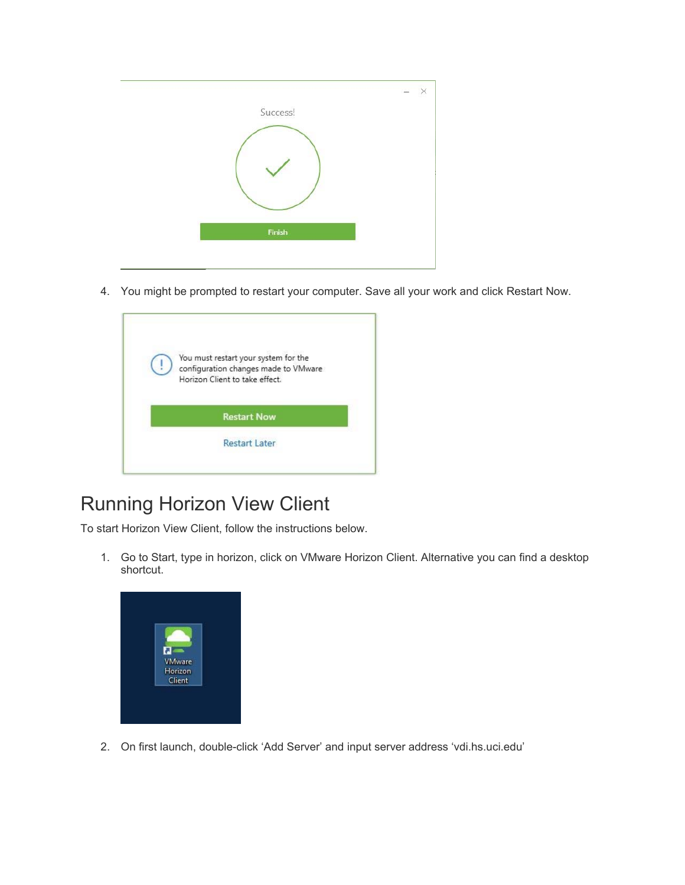| Success! | c<br>X |
|----------|--------|
| Finish   |        |
|          |        |

4. You might be prompted to restart your computer. Save all your work and click Restart Now.

| You must restart your system for the                                   |
|------------------------------------------------------------------------|
| configuration changes made to VMware<br>Horizon Client to take effect. |
|                                                                        |
| <b>Restart Now</b>                                                     |
|                                                                        |
| <b>Restart Later</b>                                                   |

#### Running Horizon View Client

To start Horizon View Client, follow the instructions below.

1. Go to Start, type in horizon, click on VMware Horizon Client. Alternative you can find a desktop shortcut.



2. On first launch, double-click 'Add Server' and input server address 'vdi.hs.uci.edu'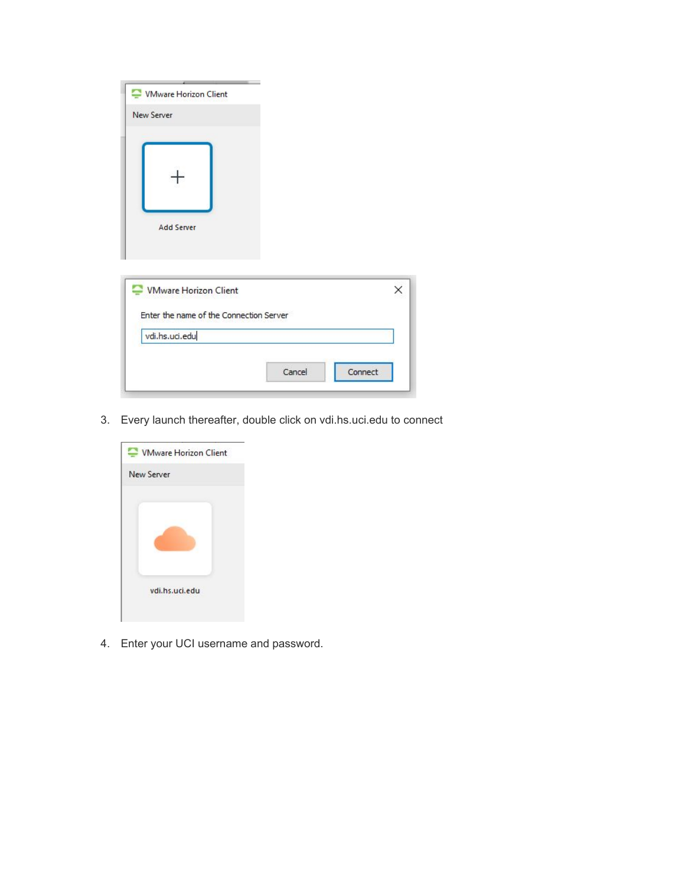| VMware Horizon Client<br><b>New Server</b>                       |                   |   |
|------------------------------------------------------------------|-------------------|---|
| <b>Add Server</b>                                                |                   |   |
| VMware Horizon Client<br>Enter the name of the Connection Server |                   | × |
| vdi.hs.uci.edu                                                   |                   |   |
|                                                                  | Connect<br>Cancel |   |

3. Every launch thereafter, double click on vdi.hs.uci.edu to connect



4. Enter your UCI username and password.